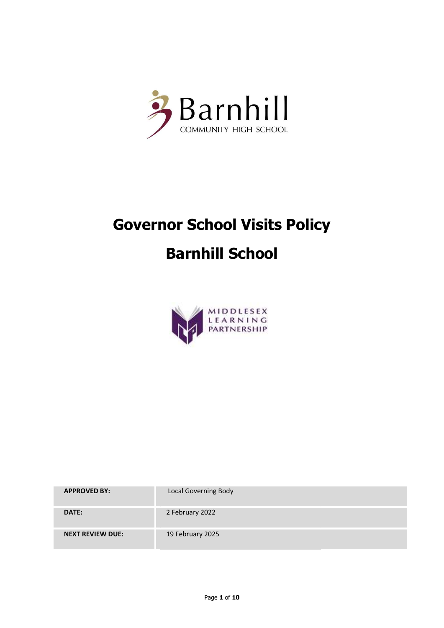

# Governor School Visits Policy Barnhill School



| <b>APPROVED BY:</b>     | <b>Local Governing Body</b> |
|-------------------------|-----------------------------|
| DATE:                   | 2 February 2022             |
| <b>NEXT REVIEW DUE:</b> | 19 February 2025            |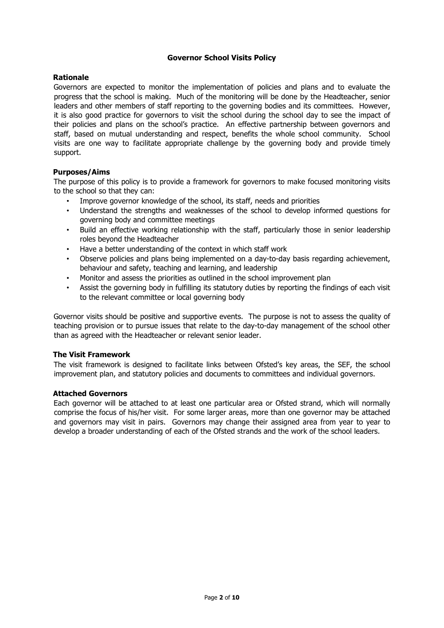# Governor School Visits Policy

## Rationale

Governors are expected to monitor the implementation of policies and plans and to evaluate the progress that the school is making. Much of the monitoring will be done by the Headteacher, senior leaders and other members of staff reporting to the governing bodies and its committees. However, it is also good practice for governors to visit the school during the school day to see the impact of their policies and plans on the school's practice. An effective partnership between governors and staff, based on mutual understanding and respect, benefits the whole school community. School visits are one way to facilitate appropriate challenge by the governing body and provide timely support.

# Purposes/Aims

The purpose of this policy is to provide a framework for governors to make focused monitoring visits to the school so that they can:

- Improve governor knowledge of the school, its staff, needs and priorities
- Understand the strengths and weaknesses of the school to develop informed questions for governing body and committee meetings
- Build an effective working relationship with the staff, particularly those in senior leadership roles beyond the Headteacher
- Have a better understanding of the context in which staff work
- Observe policies and plans being implemented on a day-to-day basis regarding achievement, behaviour and safety, teaching and learning, and leadership
- Monitor and assess the priorities as outlined in the school improvement plan
- Assist the governing body in fulfilling its statutory duties by reporting the findings of each visit to the relevant committee or local governing body

Governor visits should be positive and supportive events. The purpose is not to assess the quality of teaching provision or to pursue issues that relate to the day-to-day management of the school other than as agreed with the Headteacher or relevant senior leader.

## The Visit Framework

The visit framework is designed to facilitate links between Ofsted's key areas, the SEF, the school improvement plan, and statutory policies and documents to committees and individual governors.

## Attached Governors

Each governor will be attached to at least one particular area or Ofsted strand, which will normally comprise the focus of his/her visit. For some larger areas, more than one governor may be attached and governors may visit in pairs. Governors may change their assigned area from year to year to develop a broader understanding of each of the Ofsted strands and the work of the school leaders.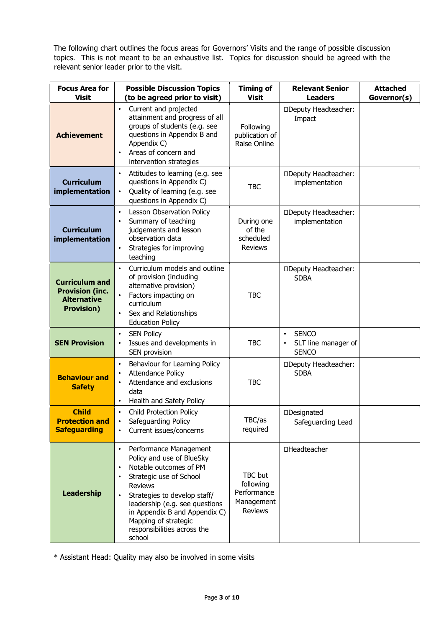The following chart outlines the focus areas for Governors' Visits and the range of possible discussion topics. This is not meant to be an exhaustive list. Topics for discussion should be agreed with the relevant senior leader prior to the visit.

| <b>Focus Area for</b><br><b>Visit</b>                                                      | <b>Possible Discussion Topics</b><br>(to be agreed prior to visit)                                                                                                                                                                                                                                                                    | <b>Timing of</b><br><b>Visit</b>                                           | <b>Relevant Senior</b><br><b>Leaders</b>                                      | <b>Attached</b><br>Governor(s) |
|--------------------------------------------------------------------------------------------|---------------------------------------------------------------------------------------------------------------------------------------------------------------------------------------------------------------------------------------------------------------------------------------------------------------------------------------|----------------------------------------------------------------------------|-------------------------------------------------------------------------------|--------------------------------|
| <b>Achievement</b>                                                                         | Current and projected<br>$\bullet$<br>attainment and progress of all<br>groups of students (e.g. see<br>questions in Appendix B and<br>Appendix C)<br>Areas of concern and<br>$\bullet$<br>intervention strategies                                                                                                                    | Following<br>publication of<br>Raise Online                                | <b><i>ODeputy Headteacher:</i></b><br>Impact                                  |                                |
| <b>Curriculum</b><br>implementation                                                        | Attitudes to learning (e.g. see<br>$\bullet$<br>questions in Appendix C)<br>Quality of learning (e.g. see<br>$\bullet$<br>questions in Appendix C)                                                                                                                                                                                    | <b>TBC</b>                                                                 | <b><i>ODeputy Headteacher:</i></b><br>implementation                          |                                |
| <b>Curriculum</b><br>implementation                                                        | Lesson Observation Policy<br>$\bullet$<br>Summary of teaching<br>$\bullet$<br>judgements and lesson<br>observation data<br>Strategies for improving<br>$\bullet$<br>teaching                                                                                                                                                          | During one<br>of the<br>scheduled<br><b>Reviews</b>                        | □Deputy Headteacher:<br>implementation                                        |                                |
| <b>Curriculum and</b><br><b>Provision (inc.</b><br><b>Alternative</b><br><b>Provision)</b> | Curriculum models and outline<br>$\bullet$<br>of provision (including<br>alternative provision)<br>$\bullet$<br>Factors impacting on<br>curriculum<br>Sex and Relationships<br>$\bullet$<br><b>Education Policy</b>                                                                                                                   | <b>TBC</b>                                                                 | <b><i>ODeputy Headteacher:</i></b><br><b>SDBA</b>                             |                                |
| <b>SEN Provision</b>                                                                       | <b>SEN Policy</b><br>$\bullet$<br>Issues and developments in<br>$\bullet$<br>SEN provision                                                                                                                                                                                                                                            | <b>TBC</b>                                                                 | <b>SENCO</b><br>$\bullet$<br>SLT line manager of<br>$\bullet$<br><b>SENCO</b> |                                |
| <b>Behaviour and</b><br><b>Safety</b>                                                      | Behaviour for Learning Policy<br>$\bullet$<br><b>Attendance Policy</b><br>$\bullet$<br>Attendance and exclusions<br>$\bullet$<br>data<br>Health and Safety Policy<br>$\bullet$                                                                                                                                                        | <b>TBC</b>                                                                 | <b>IDeputy Headteacher:</b><br><b>SDBA</b>                                    |                                |
| <b>Child</b><br><b>Protection and</b><br><b>Safeguarding</b>                               | <b>Child Protection Policy</b><br>$\bullet$<br>Safeguarding Policy<br>Current issues/concerns<br>$\bullet$                                                                                                                                                                                                                            | TBC/as<br>required                                                         | □Designated<br>Safeguarding Lead                                              |                                |
| <b>Leadership</b>                                                                          | Performance Management<br>$\bullet$<br>Policy and use of BlueSky<br>Notable outcomes of PM<br>$\bullet$<br>Strategic use of School<br><b>Reviews</b><br>Strategies to develop staff/<br>$\bullet$<br>leadership (e.g. see questions<br>in Appendix B and Appendix C)<br>Mapping of strategic<br>responsibilities across the<br>school | <b>TBC</b> but<br>following<br>Performance<br>Management<br><b>Reviews</b> | □Headteacher                                                                  |                                |

\* Assistant Head: Quality may also be involved in some visits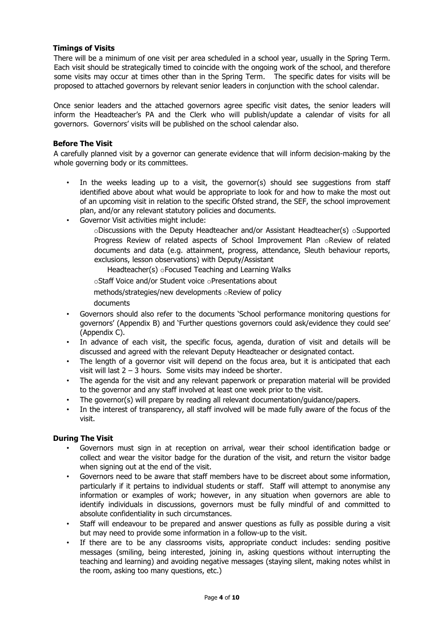## Timings of Visits

There will be a minimum of one visit per area scheduled in a school year, usually in the Spring Term. Each visit should be strategically timed to coincide with the ongoing work of the school, and therefore some visits may occur at times other than in the Spring Term. The specific dates for visits will be proposed to attached governors by relevant senior leaders in conjunction with the school calendar.

Once senior leaders and the attached governors agree specific visit dates, the senior leaders will inform the Headteacher's PA and the Clerk who will publish/update a calendar of visits for all governors. Governors' visits will be published on the school calendar also.

# Before The Visit

A carefully planned visit by a governor can generate evidence that will inform decision-making by the whole governing body or its committees.

- In the weeks leading up to a visit, the governor(s) should see suggestions from staff identified above about what would be appropriate to look for and how to make the most out of an upcoming visit in relation to the specific Ofsted strand, the SEF, the school improvement plan, and/or any relevant statutory policies and documents.
- Governor Visit activities might include:

 $\circ$ Discussions with the Deputy Headteacher and/or Assistant Headteacher(s)  $\circ$ Supported Progress Review of related aspects of School Improvement Plan oReview of related documents and data (e.g. attainment, progress, attendance, Sleuth behaviour reports, exclusions, lesson observations) with Deputy/Assistant

Headteacher(s) oFocused Teaching and Learning Walks

oStaff Voice and/or Student voice oPresentations about

methods/strategies/new developments oReview of policy documents

- Governors should also refer to the documents 'School performance monitoring questions for governors' (Appendix B) and 'Further questions governors could ask/evidence they could see' (Appendix C).
- In advance of each visit, the specific focus, agenda, duration of visit and details will be discussed and agreed with the relevant Deputy Headteacher or designated contact.
- The length of a governor visit will depend on the focus area, but it is anticipated that each visit will last 2 – 3 hours. Some visits may indeed be shorter.
- The agenda for the visit and any relevant paperwork or preparation material will be provided to the governor and any staff involved at least one week prior to the visit.
- The governor(s) will prepare by reading all relevant documentation/guidance/papers.
- In the interest of transparency, all staff involved will be made fully aware of the focus of the visit.

## During The Visit

- Governors must sign in at reception on arrival, wear their school identification badge or collect and wear the visitor badge for the duration of the visit, and return the visitor badge when signing out at the end of the visit.
- Governors need to be aware that staff members have to be discreet about some information, particularly if it pertains to individual students or staff. Staff will attempt to anonymise any information or examples of work; however, in any situation when governors are able to identify individuals in discussions, governors must be fully mindful of and committed to absolute confidentiality in such circumstances.
- Staff will endeavour to be prepared and answer questions as fully as possible during a visit but may need to provide some information in a follow-up to the visit.
- If there are to be any classrooms visits, appropriate conduct includes: sending positive messages (smiling, being interested, joining in, asking questions without interrupting the teaching and learning) and avoiding negative messages (staying silent, making notes whilst in the room, asking too many questions, etc.)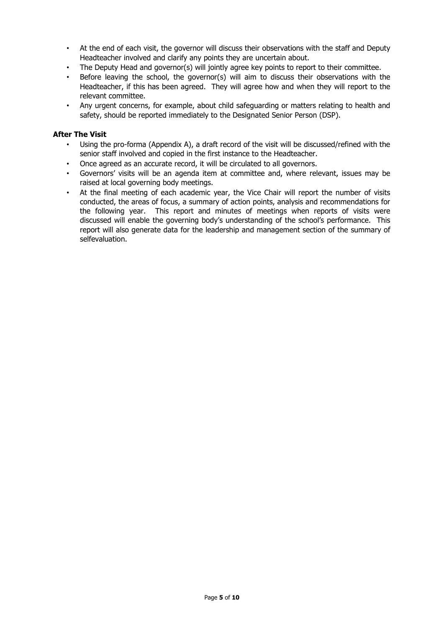- At the end of each visit, the governor will discuss their observations with the staff and Deputy Headteacher involved and clarify any points they are uncertain about.
- The Deputy Head and governor(s) will jointly agree key points to report to their committee.
- Before leaving the school, the governor(s) will aim to discuss their observations with the Headteacher, if this has been agreed. They will agree how and when they will report to the relevant committee.
- Any urgent concerns, for example, about child safeguarding or matters relating to health and safety, should be reported immediately to the Designated Senior Person (DSP).

#### After The Visit

- Using the pro-forma (Appendix A), a draft record of the visit will be discussed/refined with the senior staff involved and copied in the first instance to the Headteacher.
- Once agreed as an accurate record, it will be circulated to all governors.
- Governors' visits will be an agenda item at committee and, where relevant, issues may be raised at local governing body meetings.
- At the final meeting of each academic year, the Vice Chair will report the number of visits conducted, the areas of focus, a summary of action points, analysis and recommendations for the following year. This report and minutes of meetings when reports of visits were discussed will enable the governing body's understanding of the school's performance. This report will also generate data for the leadership and management section of the summary of selfevaluation.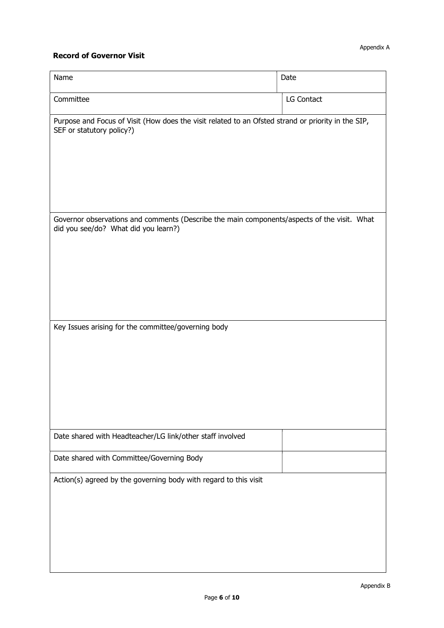# Record of Governor Visit

| Name                                                                                                                                | Date       |  |  |  |  |  |
|-------------------------------------------------------------------------------------------------------------------------------------|------------|--|--|--|--|--|
| Committee                                                                                                                           | LG Contact |  |  |  |  |  |
| Purpose and Focus of Visit (How does the visit related to an Ofsted strand or priority in the SIP,<br>SEF or statutory policy?)     |            |  |  |  |  |  |
| Governor observations and comments (Describe the main components/aspects of the visit. What<br>did you see/do? What did you learn?) |            |  |  |  |  |  |
|                                                                                                                                     |            |  |  |  |  |  |
| Key Issues arising for the committee/governing body                                                                                 |            |  |  |  |  |  |
| Date shared with Headteacher/LG link/other staff involved                                                                           |            |  |  |  |  |  |
| Date shared with Committee/Governing Body                                                                                           |            |  |  |  |  |  |
| Action(s) agreed by the governing body with regard to this visit                                                                    |            |  |  |  |  |  |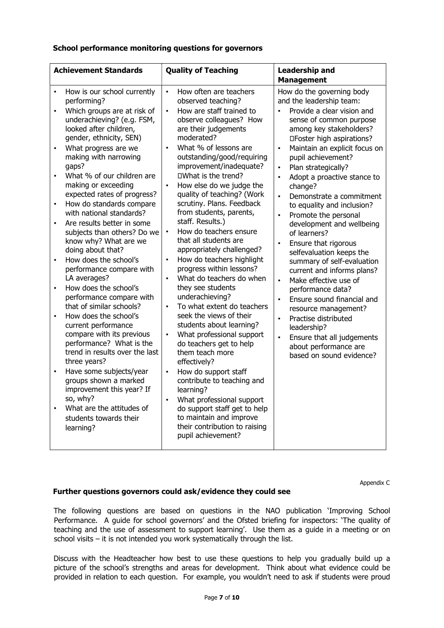## School performance monitoring questions for governors

| <b>Achievement Standards</b>                                                                                                                |                                                                                                                                                                                                                                                                                                                                                                                                                                                                                                                                                                                                                                                                                                                                                                                                                                                                                                                                                                 |                                                                                                                                             | <b>Quality of Teaching</b>                                                                                                                                                                                                                                                                                                                                                                                                                                                                                                                                                                                                                                                                                                                                                                                                                                                                                                                                                                              |                                                                                                                                             | <b>Leadership and</b>                                                                                                                                                                                                                                                                                                                                                                                                                                                                                                                                                                                                                                                                                                                                                       |
|---------------------------------------------------------------------------------------------------------------------------------------------|-----------------------------------------------------------------------------------------------------------------------------------------------------------------------------------------------------------------------------------------------------------------------------------------------------------------------------------------------------------------------------------------------------------------------------------------------------------------------------------------------------------------------------------------------------------------------------------------------------------------------------------------------------------------------------------------------------------------------------------------------------------------------------------------------------------------------------------------------------------------------------------------------------------------------------------------------------------------|---------------------------------------------------------------------------------------------------------------------------------------------|---------------------------------------------------------------------------------------------------------------------------------------------------------------------------------------------------------------------------------------------------------------------------------------------------------------------------------------------------------------------------------------------------------------------------------------------------------------------------------------------------------------------------------------------------------------------------------------------------------------------------------------------------------------------------------------------------------------------------------------------------------------------------------------------------------------------------------------------------------------------------------------------------------------------------------------------------------------------------------------------------------|---------------------------------------------------------------------------------------------------------------------------------------------|-----------------------------------------------------------------------------------------------------------------------------------------------------------------------------------------------------------------------------------------------------------------------------------------------------------------------------------------------------------------------------------------------------------------------------------------------------------------------------------------------------------------------------------------------------------------------------------------------------------------------------------------------------------------------------------------------------------------------------------------------------------------------------|
|                                                                                                                                             |                                                                                                                                                                                                                                                                                                                                                                                                                                                                                                                                                                                                                                                                                                                                                                                                                                                                                                                                                                 |                                                                                                                                             |                                                                                                                                                                                                                                                                                                                                                                                                                                                                                                                                                                                                                                                                                                                                                                                                                                                                                                                                                                                                         |                                                                                                                                             | <b>Management</b>                                                                                                                                                                                                                                                                                                                                                                                                                                                                                                                                                                                                                                                                                                                                                           |
| $\bullet$<br>$\bullet$<br>$\bullet$<br>$\bullet$<br>$\bullet$<br>$\bullet$<br>$\bullet$<br>$\bullet$<br>$\bullet$<br>$\bullet$<br>$\bullet$ | How is our school currently<br>performing?<br>Which groups are at risk of<br>underachieving? (e.g. FSM,<br>looked after children,<br>gender, ethnicity, SEN)<br>What progress are we<br>making with narrowing<br>gaps?<br>What % of our children are<br>making or exceeding<br>expected rates of progress?<br>How do standards compare<br>with national standards?<br>Are results better in some<br>subjects than others? Do we<br>know why? What are we<br>doing about that?<br>How does the school's<br>performance compare with<br>LA averages?<br>How does the school's<br>performance compare with<br>that of similar schools?<br>How does the school's<br>current performance<br>compare with its previous<br>performance? What is the<br>trend in results over the last<br>three years?<br>Have some subjects/year<br>groups shown a marked<br>improvement this year? If<br>so, why?<br>What are the attitudes of<br>students towards their<br>learning? | $\bullet$<br>$\bullet$<br>$\bullet$<br>$\bullet$<br>$\bullet$<br>$\bullet$<br>$\bullet$<br>$\bullet$<br>$\bullet$<br>$\bullet$<br>$\bullet$ | How often are teachers<br>observed teaching?<br>How are staff trained to<br>observe colleagues? How<br>are their judgements<br>moderated?<br>What % of lessons are<br>outstanding/good/requiring<br>improvement/inadequate?<br>□What is the trend?<br>How else do we judge the<br>quality of teaching? (Work<br>scrutiny. Plans. Feedback<br>from students, parents,<br>staff. Results.)<br>How do teachers ensure<br>that all students are<br>appropriately challenged?<br>How do teachers highlight<br>progress within lessons?<br>What do teachers do when<br>they see students<br>underachieving?<br>To what extent do teachers<br>seek the views of their<br>students about learning?<br>What professional support<br>do teachers get to help<br>them teach more<br>effectively?<br>How do support staff<br>contribute to teaching and<br>learning?<br>What professional support<br>do support staff get to help<br>to maintain and improve<br>their contribution to raising<br>pupil achievement? | $\bullet$<br>$\bullet$<br>$\bullet$<br>$\bullet$<br>$\bullet$<br>$\bullet$<br>$\bullet$<br>$\bullet$<br>$\bullet$<br>$\bullet$<br>$\bullet$ | How do the governing body<br>and the leadership team:<br>Provide a clear vision and<br>sense of common purpose<br>among key stakeholders?<br>□Foster high aspirations?<br>Maintain an explicit focus on<br>pupil achievement?<br>Plan strategically?<br>Adopt a proactive stance to<br>change?<br>Demonstrate a commitment<br>to equality and inclusion?<br>Promote the personal<br>development and wellbeing<br>of learners?<br>Ensure that rigorous<br>selfevaluation keeps the<br>summary of self-evaluation<br>current and informs plans?<br>Make effective use of<br>performance data?<br>Ensure sound financial and<br>resource management?<br>Practise distributed<br>leadership?<br>Ensure that all judgements<br>about performance are<br>based on sound evidence? |
|                                                                                                                                             |                                                                                                                                                                                                                                                                                                                                                                                                                                                                                                                                                                                                                                                                                                                                                                                                                                                                                                                                                                 |                                                                                                                                             |                                                                                                                                                                                                                                                                                                                                                                                                                                                                                                                                                                                                                                                                                                                                                                                                                                                                                                                                                                                                         |                                                                                                                                             |                                                                                                                                                                                                                                                                                                                                                                                                                                                                                                                                                                                                                                                                                                                                                                             |

Appendix C

# Further questions governors could ask/evidence they could see

The following questions are based on questions in the NAO publication 'Improving School Performance. A guide for school governors' and the Ofsted briefing for inspectors: 'The quality of teaching and the use of assessment to support learning'. Use them as a guide in a meeting or on school visits – it is not intended you work systematically through the list.

Discuss with the Headteacher how best to use these questions to help you gradually build up a picture of the school's strengths and areas for development. Think about what evidence could be provided in relation to each question. For example, you wouldn't need to ask if students were proud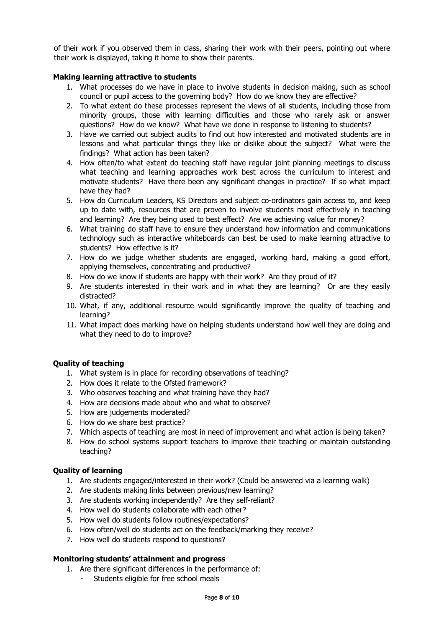of their work if you observed them in class, sharing their work with their peers, pointing out where their work is displayed, taking it home to show their parents.

## Making learning attractive to students

- 1. What processes do we have in place to involve students in decision making, such as school council or pupil access to the governing body? How do we know they are effective?
- 2. To what extent do these processes represent the views of all students, including those from minority groups, those with learning difficulties and those who rarely ask or answer questions? How do we know? What have we done in response to listening to students?
- 3. Have we carried out subject audits to find out how interested and motivated students are in lessons and what particular things they like or dislike about the subject? What were the findings? What action has been taken?
- 4. How often/to what extent do teaching staff have regular joint planning meetings to discuss what teaching and learning approaches work best across the curriculum to interest and motivate students? Have there been any significant changes in practice? If so what impact have they had?
- 5. How do Curriculum Leaders, KS Directors and subject co-ordinators gain access to, and keep up to date with, resources that are proven to involve students most effectively in teaching and learning? Are they being used to best effect? Are we achieving value for money?
- 6. What training do staff have to ensure they understand how information and communications technology such as interactive whiteboards can best be used to make learning attractive to students? How effective is it?
- 7. How do we judge whether students are engaged, working hard, making a good effort, applying themselves, concentrating and productive?
- 8. How do we know if students are happy with their work? Are they proud of it?
- 9. Are students interested in their work and in what they are learning? Or are they easily distracted?
- 10. What, if any, additional resource would significantly improve the quality of teaching and learning?
- 11. What impact does marking have on helping students understand how well they are doing and what they need to do to improve?

## Quality of teaching

- 1. What system is in place for recording observations of teaching?
- 2. How does it relate to the Ofsted framework?
- 3. Who observes teaching and what training have they had?
- 4. How are decisions made about who and what to observe?
- 5. How are judgements moderated?
- 6. How do we share best practice?
- 7. Which aspects of teaching are most in need of improvement and what action is being taken?
- 8. How do school systems support teachers to improve their teaching or maintain outstanding teaching?

## Quality of learning

- 1. Are students engaged/interested in their work? (Could be answered via a learning walk)
- 2. Are students making links between previous/new learning?
- 3. Are students working independently? Are they self-reliant?
- 4. How well do students collaborate with each other?
- 5. How well do students follow routines/expectations?
- 6. How often/well do students act on the feedback/marking they receive?
- 7. How well do students respond to questions?

## Monitoring students' attainment and progress

- 1. Are there significant differences in the performance of:
	- Students eligible for free school meals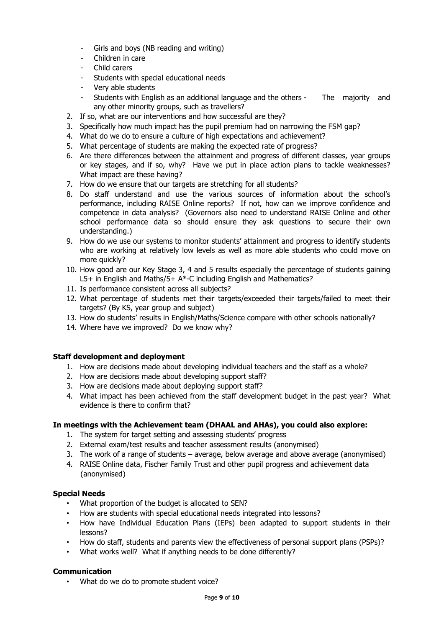- Girls and boys (NB reading and writing)
- Children in care
- Child carers
- Students with special educational needs
- Very able students
- Students with English as an additional language and the others The majority and any other minority groups, such as travellers?
- 2. If so, what are our interventions and how successful are they?
- 3. Specifically how much impact has the pupil premium had on narrowing the FSM gap?
- 4. What do we do to ensure a culture of high expectations and achievement?
- 5. What percentage of students are making the expected rate of progress?
- 6. Are there differences between the attainment and progress of different classes, year groups or key stages, and if so, why? Have we put in place action plans to tackle weaknesses? What impact are these having?
- 7. How do we ensure that our targets are stretching for all students?
- 8. Do staff understand and use the various sources of information about the school's performance, including RAISE Online reports? If not, how can we improve confidence and competence in data analysis? (Governors also need to understand RAISE Online and other school performance data so should ensure they ask questions to secure their own understanding.)
- 9. How do we use our systems to monitor students' attainment and progress to identify students who are working at relatively low levels as well as more able students who could move on more quickly?
- 10. How good are our Key Stage 3, 4 and 5 results especially the percentage of students gaining L5+ in English and Maths/5+ A\*-C including English and Mathematics?
- 11. Is performance consistent across all subjects?
- 12. What percentage of students met their targets/exceeded their targets/failed to meet their targets? (By KS, year group and subject)
- 13. How do students' results in English/Maths/Science compare with other schools nationally?
- 14. Where have we improved? Do we know why?

## Staff development and deployment

- 1. How are decisions made about developing individual teachers and the staff as a whole?
- 2. How are decisions made about developing support staff?
- 3. How are decisions made about deploying support staff?
- 4. What impact has been achieved from the staff development budget in the past year? What evidence is there to confirm that?

## In meetings with the Achievement team (DHAAL and AHAs), you could also explore:

- 1. The system for target setting and assessing students' progress
- 2. External exam/test results and teacher assessment results (anonymised)
- 3. The work of a range of students average, below average and above average (anonymised)
- 4. RAISE Online data, Fischer Family Trust and other pupil progress and achievement data (anonymised)

# Special Needs

- What proportion of the budget is allocated to SEN?
- How are students with special educational needs integrated into lessons?
- How have Individual Education Plans (IEPs) been adapted to support students in their lessons?
- How do staff, students and parents view the effectiveness of personal support plans (PSPs)?
- What works well? What if anything needs to be done differently?

## **Communication**

• What do we do to promote student voice?